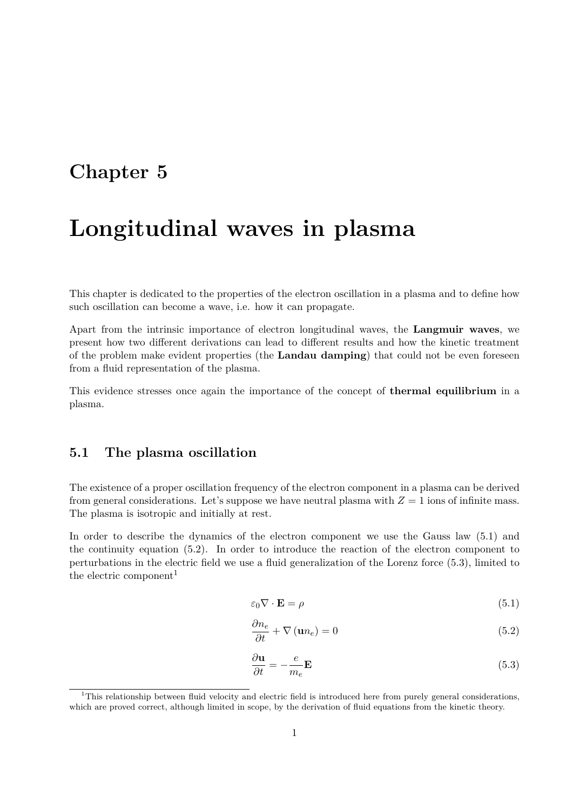## **Chapter 5**

# **Longitudinal waves in plasma**

This chapter is dedicated to the properties of the electron oscillation in a plasma and to define how such oscillation can become a wave, i.e. how it can propagate.

Apart from the intrinsic importance of electron longitudinal waves, the **Langmuir waves**, we present how two different derivations can lead to different results and how the kinetic treatment of the problem make evident properties (the **Landau damping**) that could not be even foreseen from a fluid representation of the plasma.

This evidence stresses once again the importance of the concept of **thermal equilibrium** in a plasma.

## **5.1 The plasma oscillation**

The existence of a proper oscillation frequency of the electron component in a plasma can be derived from general considerations. Let's suppose we have neutral plasma with  $Z = 1$  ions of infinite mass. The plasma is isotropic and initially at rest.

In order to describe the dynamics of the electron component we use the Gauss law (5.1) and the continuity equation (5.2). In order to introduce the reaction of the electron component to perturbations in the electric field we use a fluid generalization of the Lorenz force (5.3), limited to the electric component<sup>1</sup>

$$
\varepsilon_0 \nabla \cdot \mathbf{E} = \rho \tag{5.1}
$$

$$
\frac{\partial n_e}{\partial t} + \nabla (\mathbf{u} n_e) = 0 \tag{5.2}
$$

$$
\frac{\partial \mathbf{u}}{\partial t} = -\frac{e}{m_e} \mathbf{E}
$$
\n(5.3)

 $1$ This relationship between fluid velocity and electric field is introduced here from purely general considerations, which are proved correct, although limited in scope, by the derivation of fluid equations from the kinetic theory.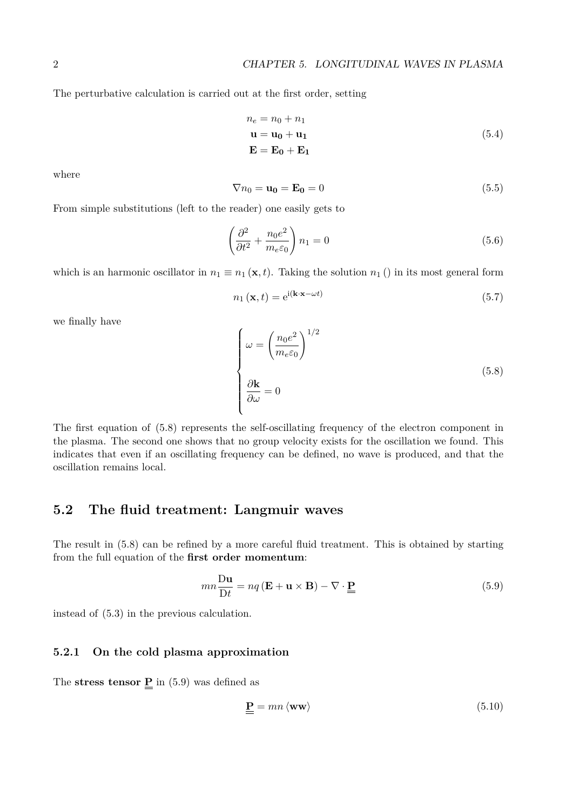The perturbative calculation is carried out at the first order, setting

$$
n_e = n_0 + n_1
$$
  
\n
$$
\mathbf{u} = \mathbf{u_0} + \mathbf{u_1}
$$
  
\n
$$
\mathbf{E} = \mathbf{E_0} + \mathbf{E_1}
$$
\n(5.4)

where

$$
\nabla n_0 = \mathbf{u_0} = \mathbf{E_0} = 0 \tag{5.5}
$$

From simple substitutions (left to the reader) one easily gets to

$$
\left(\frac{\partial^2}{\partial t^2} + \frac{n_0 e^2}{m_e \varepsilon_0}\right) n_1 = 0
$$
\n(5.6)

which is an harmonic oscillator in  $n_1 \equiv n_1 (\mathbf{x}, t)$ . Taking the solution  $n_1$  () in its most general form

$$
n_1(\mathbf{x},t) = e^{i(\mathbf{k}\cdot\mathbf{x}-\omega t)}
$$
\n(5.7)

we finally have

$$
\begin{cases}\n\omega = \left(\frac{n_0 e^2}{m_e \varepsilon_0}\right)^{1/2} \\
\frac{\partial \mathbf{k}}{\partial \omega} = 0\n\end{cases}
$$
\n(5.8)

The first equation of (5.8) represents the self-oscillating frequency of the electron component in the plasma. The second one shows that no group velocity exists for the oscillation we found. This indicates that even if an oscillating frequency can be defined, no wave is produced, and that the oscillation remains local.

## **5.2 The fluid treatment: Langmuir waves**

The result in (5.8) can be refined by a more careful fluid treatment. This is obtained by starting from the full equation of the **first order momentum**:

$$
mn\frac{\mathbf{D}\mathbf{u}}{\mathbf{D}t} = nq\left(\mathbf{E} + \mathbf{u} \times \mathbf{B}\right) - \nabla \cdot \underline{\mathbf{P}} \tag{5.9}
$$

instead of (5.3) in the previous calculation.

### **5.2.1 On the cold plasma approximation**

The **stress tensor**  $\underline{P}$  in (5.9) was defined as

$$
\underline{\underline{\mathbf{P}}} = mn \langle \mathbf{ww} \rangle \tag{5.10}
$$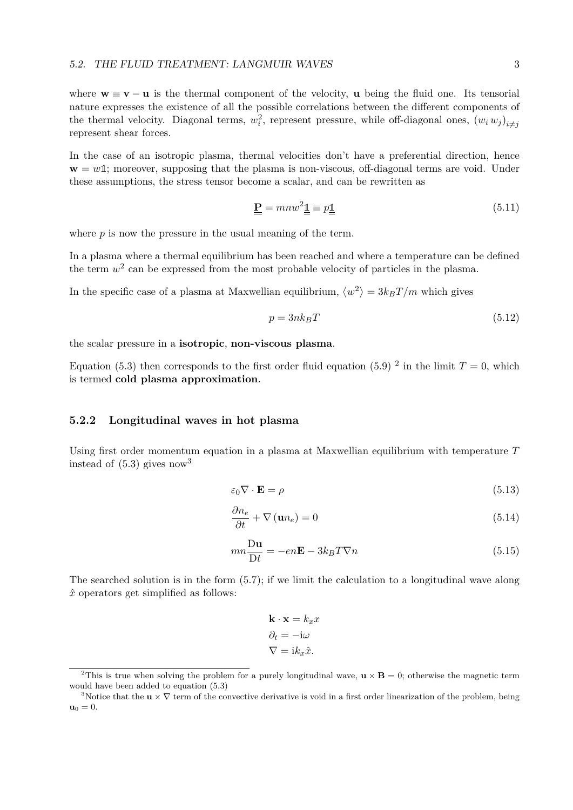where  $\mathbf{w} \equiv \mathbf{v} - \mathbf{u}$  is the thermal component of the velocity, **u** being the fluid one. Its tensorial nature expresses the existence of all the possible correlations between the different components of the thermal velocity. Diagonal terms,  $w_i^2$ , represent pressure, while off-diagonal ones,  $(w_i w_j)_{i \neq j}$ represent shear forces.

In the case of an isotropic plasma, thermal velocities don't have a preferential direction, hence  $\mathbf{w} = w\mathbf{1}$ ; moreover, supposing that the plasma is non-viscous, off-diagonal terms are void. Under these assumptions, the stress tensor become a scalar, and can be rewritten as

$$
\underline{\underline{\mathbf{P}}} = m n w^2 \underline{\underline{\mathbb{I}}} \equiv p \underline{\underline{\mathbb{I}}} \tag{5.11}
$$

where *p* is now the pressure in the usual meaning of the term.

In a plasma where a thermal equilibrium has been reached and where a temperature can be defined the term  $w^2$  can be expressed from the most probable velocity of particles in the plasma.

In the specific case of a plasma at Maxwellian equilibrium,  $\langle w^2 \rangle = 3k_B T/m$  which gives

$$
p = 3nk_BT \tag{5.12}
$$

the scalar pressure in a **isotropic**, **non-viscous plasma**.

Equation (5.3) then corresponds to the first order fluid equation (5.9)<sup>2</sup> in the limit  $T = 0$ , which is termed **cold plasma approximation**.

#### **5.2.2 Longitudinal waves in hot plasma**

Using first order momentum equation in a plasma at Maxwellian equilibrium with temperature *T* instead of  $(5.3)$  gives now<sup>3</sup>

$$
\varepsilon_0 \nabla \cdot \mathbf{E} = \rho \tag{5.13}
$$

$$
\frac{\partial n_e}{\partial t} + \nabla(\mathbf{u}n_e) = 0 \tag{5.14}
$$

$$
mn\frac{\mathbf{D}\mathbf{u}}{\mathbf{D}t} = -en\mathbf{E} - 3k_BT\nabla n\tag{5.15}
$$

The searched solution is in the form (5.7); if we limit the calculation to a longitudinal wave along  $\hat{x}$  operators get simplified as follows:

$$
\mathbf{k} \cdot \mathbf{x} = k_x x
$$

$$
\partial_t = -\mathrm{i} \omega
$$

$$
\nabla = \mathrm{i} k_x \hat{x}.
$$

<sup>&</sup>lt;sup>2</sup>This is true when solving the problem for a purely longitudinal wave,  $\mathbf{u} \times \mathbf{B} = 0$ ; otherwise the magnetic term would have been added to equation (5.3)

<sup>&</sup>lt;sup>3</sup>Notice that the  $\mathbf{u} \times \nabla$  term of the convective derivative is void in a first order linearization of the problem, being  $\mathbf{u}_0 = 0.$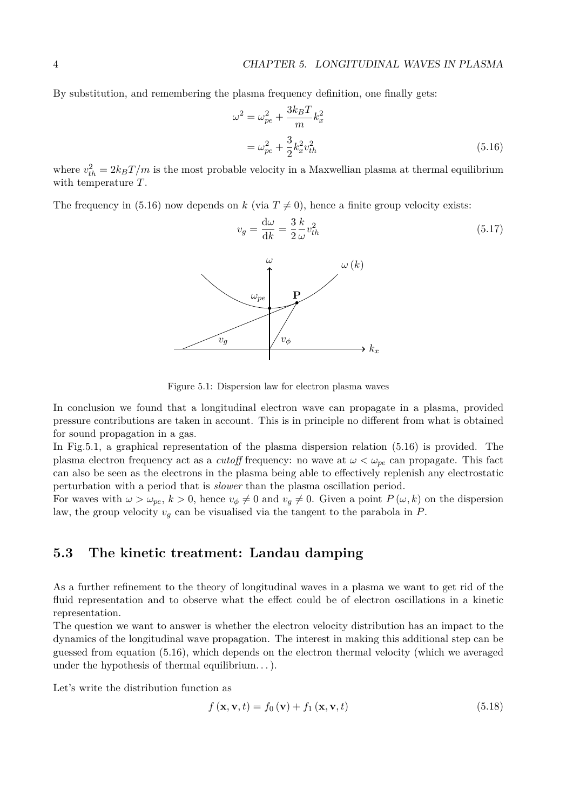By substitution, and remembering the plasma frequency definition, one finally gets:

$$
\omega^2 = \omega_{pe}^2 + \frac{3k_B T}{m} k_x^2
$$
  
=  $\omega_{pe}^2 + \frac{3}{2} k_x^2 v_{th}^2$  (5.16)

where  $v_{th}^2 = 2k_B T/m$  is the most probable velocity in a Maxwellian plasma at thermal equilibrium with temperature *T*.

*k*

The frequency in (5.16) now depends on *k* (via  $T \neq 0$ ), hence a finite group velocity exists:



Figure 5.1: Dispersion law for electron plasma waves

In conclusion we found that a longitudinal electron wave can propagate in a plasma, provided pressure contributions are taken in account. This is in principle no different from what is obtained for sound propagation in a gas.

In Fig.5.1, a graphical representation of the plasma dispersion relation (5.16) is provided. The plasma electron frequency act as a *cutoff* frequency: no wave at  $\omega < \omega_{pe}$  can propagate. This fact can also be seen as the electrons in the plasma being able to effectively replenish any electrostatic perturbation with a period that is *slower* than the plasma oscillation period.

For waves with  $\omega > \omega_{pe}$ ,  $k > 0$ , hence  $v_{\phi} \neq 0$  and  $v_q \neq 0$ . Given a point  $P(\omega, k)$  on the dispersion law, the group velocity  $v_q$  can be visualised via the tangent to the parabola in  $P$ .

## **5.3 The kinetic treatment: Landau damping**

As a further refinement to the theory of longitudinal waves in a plasma we want to get rid of the fluid representation and to observe what the effect could be of electron oscillations in a kinetic representation.

The question we want to answer is whether the electron velocity distribution has an impact to the dynamics of the longitudinal wave propagation. The interest in making this additional step can be guessed from equation (5.16), which depends on the electron thermal velocity (which we averaged under the hypothesis of thermal equilibrium. . . ).

Let's write the distribution function as

$$
f(\mathbf{x}, \mathbf{v}, t) = f_0(\mathbf{v}) + f_1(\mathbf{x}, \mathbf{v}, t)
$$
\n(5.18)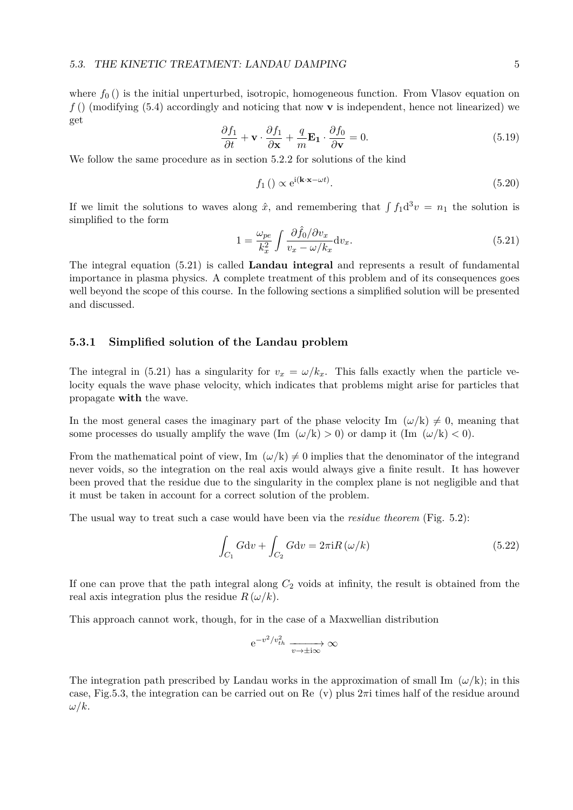where  $f_0$  () is the initial unperturbed, isotropic, homogeneous function. From Vlasov equation on *f* () (modifying (5.4) accordingly and noticing that now **v** is independent, hence not linearized) we get

$$
\frac{\partial f_1}{\partial t} + \mathbf{v} \cdot \frac{\partial f_1}{\partial \mathbf{x}} + \frac{q}{m} \mathbf{E}_1 \cdot \frac{\partial f_0}{\partial \mathbf{v}} = 0.
$$
 (5.19)

We follow the same procedure as in section 5.2.2 for solutions of the kind

$$
f_1\left(\right) \propto e^{i(\mathbf{k} \cdot \mathbf{x} - \omega t)}.\tag{5.20}
$$

If we limit the solutions to waves along  $\hat{x}$ , and remembering that  $\int f_1 d^3 v = n_1$  the solution is simplified to the form

$$
1 = \frac{\omega_{pe}}{k_x^2} \int \frac{\partial \hat{f}_0 / \partial v_x}{v_x - \omega / k_x} \, \mathrm{d}v_x. \tag{5.21}
$$

The integral equation (5.21) is called **Landau integral** and represents a result of fundamental importance in plasma physics. A complete treatment of this problem and of its consequences goes well beyond the scope of this course. In the following sections a simplified solution will be presented and discussed.

#### **5.3.1 Simplified solution of the Landau problem**

The integral in (5.21) has a singularity for  $v_x = \omega/k_x$ . This falls exactly when the particle velocity equals the wave phase velocity, which indicates that problems might arise for particles that propagate **with** the wave.

In the most general cases the imaginary part of the phase velocity Im  $(\omega/k) \neq 0$ , meaning that some processes do usually amplify the wave  $(\text{Im } (\omega/\text{k}) > 0)$  or damp it  $(\text{Im } (\omega/\text{k}) < 0)$ .

From the mathematical point of view, Im  $(\omega/k) \neq 0$  implies that the denominator of the integrand never voids, so the integration on the real axis would always give a finite result. It has however been proved that the residue due to the singularity in the complex plane is not negligible and that it must be taken in account for a correct solution of the problem.

The usual way to treat such a case would have been via the *residue theorem* (Fig. 5.2):

$$
\int_{C_1} G \mathrm{d}v + \int_{C_2} G \mathrm{d}v = 2\pi \mathrm{i} R\left(\omega/k\right) \tag{5.22}
$$

If one can prove that the path integral along *C*<sup>2</sup> voids at infinity, the result is obtained from the real axis integration plus the residue  $R(\omega/k)$ .

This approach cannot work, though, for in the case of a Maxwellian distribution

$$
e^{-v^2/v_{th}^2} \xrightarrow[v \to \pm i\infty]{} \infty
$$

The integration path prescribed by Landau works in the approximation of small Im  $(\omega/k)$ ; in this case, Fig.5.3, the integration can be carried out on Re (v) plus 2*π*i times half of the residue around *ω/k*.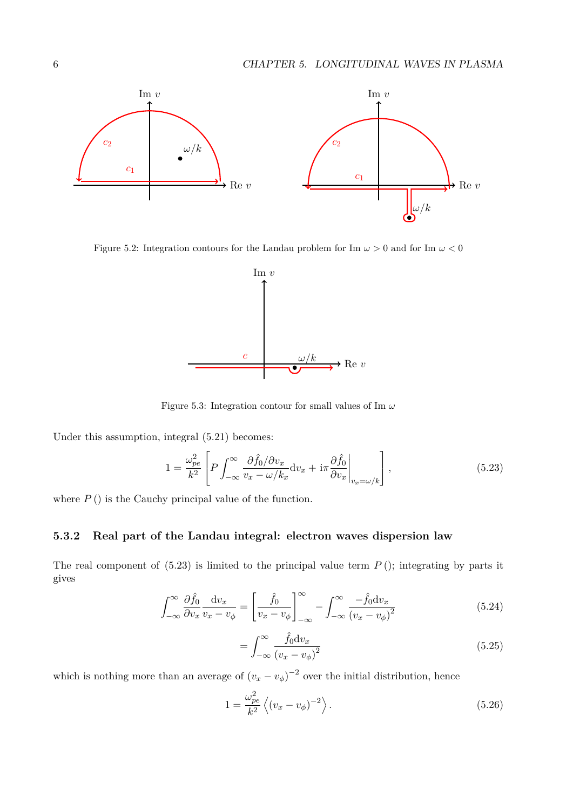

Figure 5.2: Integration contours for the Landau problem for Im  $\omega > 0$  and for Im  $\omega < 0$ 



Figure 5.3: Integration contour for small values of Im *ω*

Under this assumption, integral (5.21) becomes:

$$
1 = \frac{\omega_{pe}^2}{k^2} \left[ P \int_{-\infty}^{\infty} \frac{\partial \hat{f}_0 / \partial v_x}{v_x - \omega / k_x} \, \mathrm{d}v_x + \mathrm{i} \pi \frac{\partial \hat{f}_0}{\partial v_x} \bigg|_{v_x = \omega / k} \right],\tag{5.23}
$$

where  $P()$  is the Cauchy principal value of the function.

## **5.3.2 Real part of the Landau integral: electron waves dispersion law**

The real component of  $(5.23)$  is limited to the principal value term  $P$  (); integrating by parts it gives

$$
\int_{-\infty}^{\infty} \frac{\partial \hat{f}_0}{\partial v_x} \frac{dv_x}{v_x - v_\phi} = \left[ \frac{\hat{f}_0}{v_x - v_\phi} \right]_{-\infty}^{\infty} - \int_{-\infty}^{\infty} \frac{-\hat{f}_0 dv_x}{(v_x - v_\phi)^2}
$$
(5.24)

$$
=\int_{-\infty}^{\infty} \frac{\hat{f}_0 \mathrm{d}v_x}{(v_x - v_\phi)^2} \tag{5.25}
$$

which is nothing more than an average of  $(v_x - v_\phi)^{-2}$  over the initial distribution, hence

$$
1 = \frac{\omega_{pe}^2}{k^2} \left\langle (v_x - v_\phi)^{-2} \right\rangle.
$$
\n(5.26)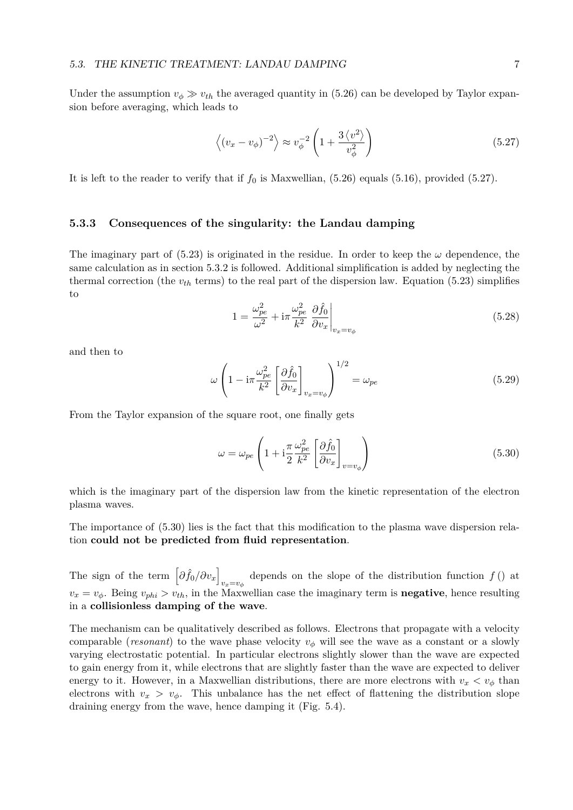Under the assumption  $v_{\phi} \gg v_{th}$  the averaged quantity in (5.26) can be developed by Taylor expansion before averaging, which leads to

$$
\left\langle \left(v_x - v_\phi\right)^{-2} \right\rangle \approx v_\phi^{-2} \left(1 + \frac{3\left\langle v^2 \right\rangle}{v_\phi^2}\right) \tag{5.27}
$$

It is left to the reader to verify that if  $f_0$  is Maxwellian,  $(5.26)$  equals  $(5.16)$ , provided  $(5.27)$ .

#### **5.3.3 Consequences of the singularity: the Landau damping**

The imaginary part of  $(5.23)$  is originated in the residue. In order to keep the  $\omega$  dependence, the same calculation as in section 5.3.2 is followed. Additional simplification is added by neglecting the thermal correction (the  $v_{th}$  terms) to the real part of the dispersion law. Equation (5.23) simplifies to

$$
1 = \frac{\omega_{pe}^2}{\omega^2} + i\pi \frac{\omega_{pe}^2}{k^2} \left. \frac{\partial \hat{f}_0}{\partial v_x} \right|_{v_x = v_\phi}
$$
 (5.28)

and then to

$$
\omega \left( 1 - i\pi \frac{\omega_{pe}^2}{k^2} \left[ \frac{\partial \hat{f}_0}{\partial v_x} \right]_{v_x = v_\phi} \right)^{1/2} = \omega_{pe} \tag{5.29}
$$

From the Taylor expansion of the square root, one finally gets

$$
\omega = \omega_{pe} \left( 1 + i \frac{\pi}{2} \frac{\omega_{pe}^2}{k^2} \left[ \frac{\partial \hat{f}_0}{\partial v_x} \right]_{v = v_\phi} \right) \tag{5.30}
$$

which is the imaginary part of the dispersion law from the kinetic representation of the electron plasma waves.

The importance of (5.30) lies is the fact that this modification to the plasma wave dispersion relation **could not be predicted from fluid representation**.

The sign of the term  $\left[\partial f_0 / \partial v_x\right]$  $v_x = v_\phi$  depends on the slope of the distribution function *f* () at  $v_x = v_\phi$ . Being  $v_{phi} > v_{th}$ , in the Maxwellian case the imaginary term is **negative**, hence resulting in a **collisionless damping of the wave**.

The mechanism can be qualitatively described as follows. Electrons that propagate with a velocity comparable (*resonant*) to the wave phase velocity  $v_{\phi}$  will see the wave as a constant or a slowly varying electrostatic potential. In particular electrons slightly slower than the wave are expected to gain energy from it, while electrons that are slightly faster than the wave are expected to deliver energy to it. However, in a Maxwellian distributions, there are more electrons with  $v_x < v_\phi$  than electrons with  $v_x > v_\phi$ . This unbalance has the net effect of flattening the distribution slope draining energy from the wave, hence damping it (Fig. 5.4).